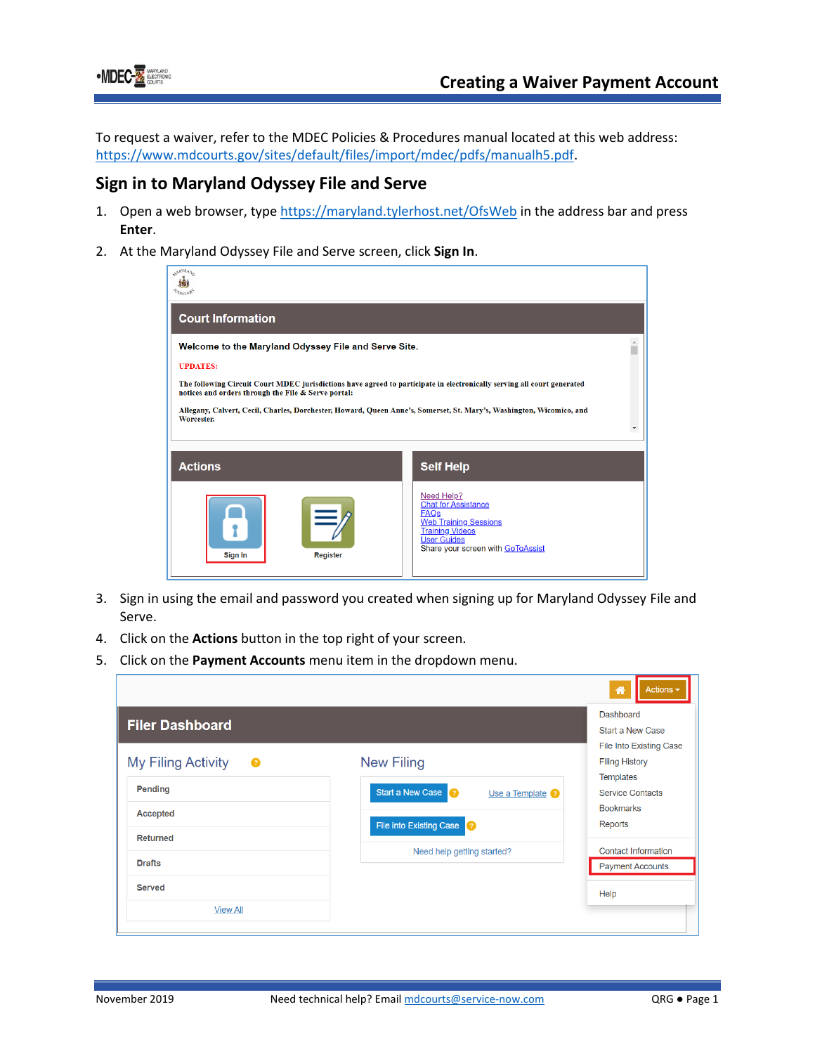•MDEC-**网** 

To request a waiver, refer to the MDEC Policies & Procedures manual located at this web address: [https://www.mdcourts.gov/sites/default/files/import/mdec/pdfs/manualh5.pdf.](https://www.mdcourts.gov/sites/default/files/import/mdec/pdfs/manualh5.pdf)

## **Sign in to Maryland Odyssey File and Serve**

- 1. Open a web browser, typ[e https://maryland.tylerhost.net/OfsWeb](https://maryland.tylerhost.net/OfsWeb) in the address bar and press **Enter**.
- 2. At the Maryland Odyssey File and Serve screen, click **Sign In**.

| ANNEAU<br>UDICINE                                                                                                                                                                                                                                                                                                                                                                                    |                                                                                                                                                                                                  |  |
|------------------------------------------------------------------------------------------------------------------------------------------------------------------------------------------------------------------------------------------------------------------------------------------------------------------------------------------------------------------------------------------------------|--------------------------------------------------------------------------------------------------------------------------------------------------------------------------------------------------|--|
| <b>Court Information</b>                                                                                                                                                                                                                                                                                                                                                                             |                                                                                                                                                                                                  |  |
| ń<br>Welcome to the Maryland Odyssey File and Serve Site.<br><b>UPDATES:</b><br>The following Circuit Court MDEC jurisdictions have agreed to participate in electronically serving all court generated<br>notices and orders through the File & Serve portal:<br>Allegany, Calvert, Cecil, Charles, Dorchester, Howard, Queen Anne's, Somerset, St. Mary's, Washington, Wicomico, and<br>Worcester. |                                                                                                                                                                                                  |  |
| <b>Actions</b><br><b>Register</b><br>Sign In                                                                                                                                                                                                                                                                                                                                                         | <b>Self Help</b><br>Need Help?<br><b>Chat for Assistance</b><br><b>FAQs</b><br><b>Web Training Sessions</b><br><b>Training Videos</b><br><b>User Guides</b><br>Share your screen with GoToAssist |  |

- 3. Sign in using the email and password you created when signing up for Maryland Odyssey File and Serve.
- 4. Click on the **Actions** button in the top right of your screen.
- 5. Click on the **Payment Accounts** menu item in the dropdown menu.

| <b>Filer Dashboard</b>  |                                                   | Dashboard<br><b>Start a New Case</b>                  |
|-------------------------|---------------------------------------------------|-------------------------------------------------------|
| My Filing Activity<br>❸ | <b>New Filing</b>                                 | File Into Existing Case<br><b>Filing History</b>      |
| Pending                 | <b>Start a New Case</b><br>le<br>Use a Template ? | <b>Templates</b><br><b>Service Contacts</b>           |
| <b>Accepted</b>         | <b>File into Existing Case</b>                    | <b>Bookmarks</b><br>Reports                           |
| <b>Returned</b>         |                                                   |                                                       |
| <b>Drafts</b>           | Need help getting started?                        | <b>Contact Information</b><br><b>Payment Accounts</b> |
| <b>Served</b>           |                                                   | Help                                                  |
| <b>View All</b>         |                                                   |                                                       |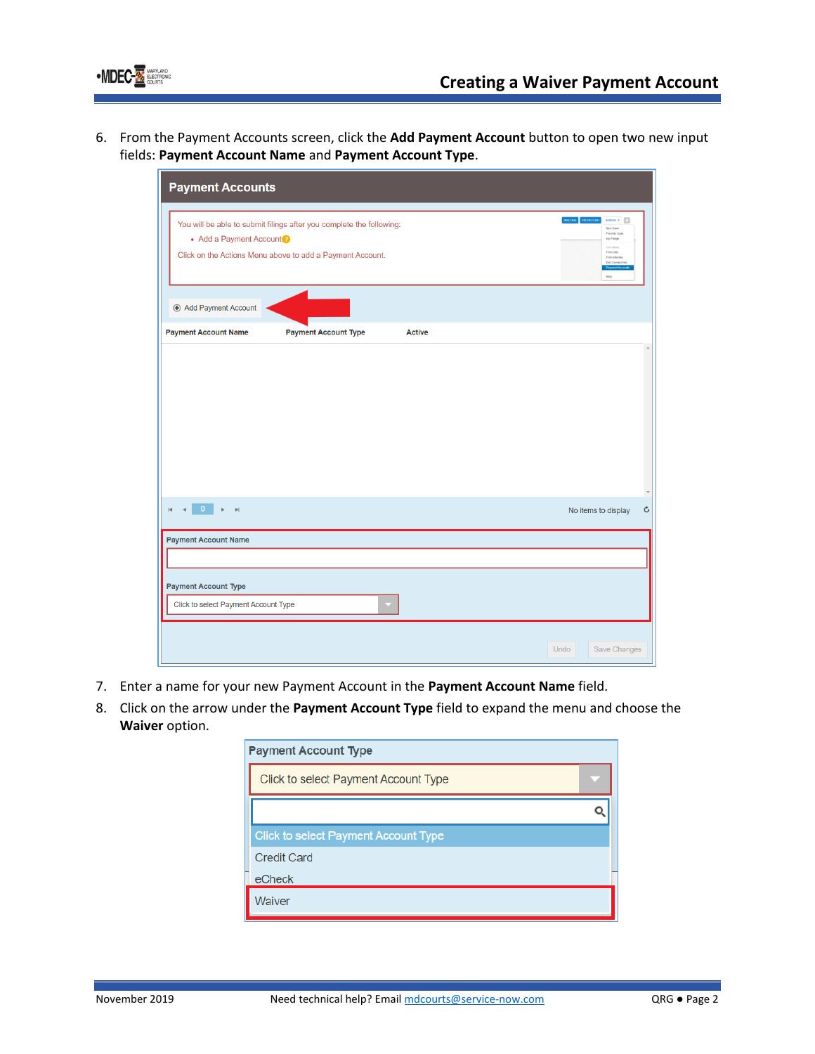

6. From the Payment Accounts screen, click the **Add Payment Account** button to open two new input fields: **Payment Account Name** and **Payment Account Type**.

| <b>Payment Accounts</b>                              |                                                                                                                                   |               |                                                                                                                                                                                                                       |
|------------------------------------------------------|-----------------------------------------------------------------------------------------------------------------------------------|---------------|-----------------------------------------------------------------------------------------------------------------------------------------------------------------------------------------------------------------------|
| • Add a Payment Account                              | You will be able to submit filings after you complete the following:<br>Click on the Actions Menu above to add a Payment Account. |               | New Case $\overline{\phantom{a}}$ File Isla Case<br>Actions $\leftarrow$<br>New Case<br>File Into Case<br>WyFilmgs<br>Fare Advise<br>Firm User<br>Firm Attorney<br>Edit Contact info<br><b>Payment Accoun</b><br>Help |
| + Add Payment Account                                |                                                                                                                                   |               |                                                                                                                                                                                                                       |
| <b>Payment Account Name</b>                          | <b>Payment Account Type</b>                                                                                                       | <b>Active</b> |                                                                                                                                                                                                                       |
|                                                      |                                                                                                                                   |               |                                                                                                                                                                                                                       |
| $\overline{0}$<br>$\left\vert \mathbf{r}\right\vert$ |                                                                                                                                   |               | ¢<br>No items to display                                                                                                                                                                                              |
| <b>Payment Account Name</b>                          |                                                                                                                                   |               |                                                                                                                                                                                                                       |
|                                                      |                                                                                                                                   |               |                                                                                                                                                                                                                       |
| <b>Payment Account Type</b>                          |                                                                                                                                   |               |                                                                                                                                                                                                                       |
| Click to select Payment Account Type                 |                                                                                                                                   |               |                                                                                                                                                                                                                       |
|                                                      |                                                                                                                                   |               |                                                                                                                                                                                                                       |
|                                                      |                                                                                                                                   |               | Save Changes<br>Undo                                                                                                                                                                                                  |

- 7. Enter a name for your new Payment Account in the **Payment Account Name** field.
- 8. Click on the arrow under the **Payment Account Type** field to expand the menu and choose the **Waiver** option.

| <b>Payment Account Type</b>                 |  |
|---------------------------------------------|--|
| Click to select Payment Account Type        |  |
|                                             |  |
| <b>Click to select Payment Account Type</b> |  |
| <b>Credit Card</b>                          |  |
| eCheck                                      |  |
| Waiver                                      |  |